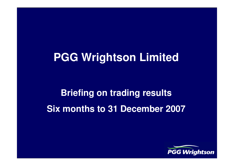## **PGG Wrightson Limited**

# **Briefing on trading resultsSix months to 31 December 2007**

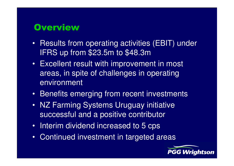#### **Overview**

- Results from operating activities (EBIT) under IFRS up from \$23.5m to \$48.3m
- Excellent result with improvement in most areas, in spite of challenges in operating environment
- Benefits emerging from recent investments
- NZ Farming Systems Uruguay initiative successful and a positive contributor
- Interim dividend increased to 5 cps
- $\bullet$ Continued investment in targeted areas

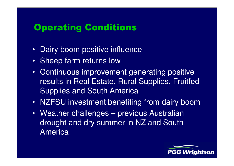## Operating Conditions

- $\bullet$ Dairy boom positive influence
- Sheep farm returns low
- Continuous improvement generating positive results in Real Estate, Rural Supplies, FruitfedSupplies and South America
- NZFSU investment benefiting from dairy boom
- Weather challenges previous Australian drought and dry summer in NZ and South America

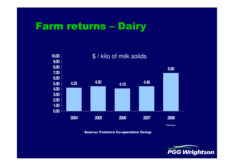# Farm returns – Dairy



Source: Fonterra Co-operative Group

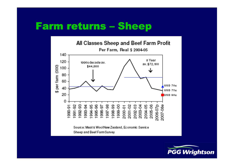# Farm returns – Sheep



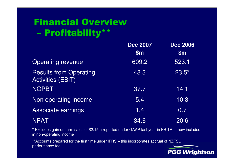#### Financial Overview $\mathcal{L}_{\mathcal{A}}$ Profitability\*\*

|                                                           | <b>Dec 2007</b><br>\$m\$ | <b>Dec 2006</b><br>\$m\$ |
|-----------------------------------------------------------|--------------------------|--------------------------|
|                                                           |                          |                          |
| <b>Operating revenue</b>                                  | 609.2                    | 523.1                    |
| <b>Results from Operating</b><br><b>Activities (EBIT)</b> | 48.3                     | $23.5*$                  |
| <b>NOPBT</b>                                              | 37.7                     | 14.1                     |
| Non operating income                                      | $\overline{5.4}$         | 10.3                     |
| Associate earnings                                        | 1,4                      | 0.7                      |
| <b>NPAT</b>                                               | 34.6                     | 20.6                     |

\* Excludes gain on farm sales of \$2.15m reported under GAAP last year in EBITA – now included in non-operating income

\*\*Accounts prepared for the first time under IFRS – this incorporates accrual of NZFSU performance fee

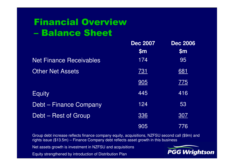#### Financial Overview –Balance Sheet

|                                | <b>Dec 2007</b> | <b>Dec 2006</b> |
|--------------------------------|-----------------|-----------------|
|                                | $\mathsf{Sm}$   | $\mathsf{Sm}$   |
| <b>Net Finance Receivables</b> | 174             | 95              |
| <b>Other Net Assets</b>        | <u>731</u>      | <u>681</u>      |
|                                | 905             | <u>775</u>      |
| <b>Equity</b>                  | 445             | 416             |
| <b>Debt - Finance Company</b>  | 124             | 53              |
| Debt - Rest of Group           | 336             | <u>307</u>      |
|                                | 905             | 776             |

Group debt increase reflects finance company equity, acquisitions, NZFSU second call (\$9m) and rights issue (\$13.5m) – Finance Company debt reflects asset growth in this business

Net assets growth is investment in NZFSU and acquisitions

Equity strengthened by introduction of Distribution Plan

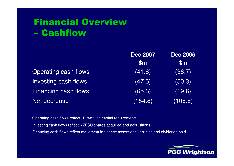#### Financial Overview –**Cashflow**

|                      | <b>Dec 2007</b><br>$\mathsf{Sm}$ | <b>Dec 2006</b><br>$\mathsf{Sm}$ |
|----------------------|----------------------------------|----------------------------------|
|                      |                                  |                                  |
| Operating cash flows | (41.8)                           | (36.7)                           |
| Investing cash flows | (47.5)                           | (50.3)                           |
| Financing cash flows | (65.6)                           | (19.6)                           |
| Net decrease         | (154.8)                          | (106.6)                          |

Operating cash flows reflect H1 working capital requirementsInvesting cash flows reflect NZFSU shares acquired and acquisitionsFinancing cash flows reflect movement in finance assets and liabilities and dividends paid

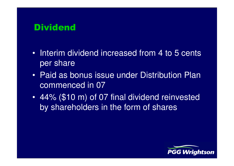#### **Dividend**

- Interim dividend increased from 4 to 5 cents per share
- Paid as bonus issue under Distribution Plan commenced in 07
- $\bullet$  44% (\$10 m) of 07 final dividend reinvested by shareholders in the form of shares

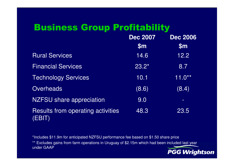## Business Group Profitability

|                                                    | <b>Dec 2007</b><br>\$m\$ | <b>Dec 2006</b><br>\$m |
|----------------------------------------------------|--------------------------|------------------------|
| <b>Rural Services</b>                              | 14.6                     | 12.2                   |
| <b>Financial Services</b>                          | $\overline{23.2}^*$      | 8.7                    |
| <b>Technology Services</b>                         | 10.1                     | $11.0**$               |
| <b>Overheads</b>                                   | (8.6)                    | (8.4)                  |
| <b>NZFSU</b> share appreciation                    | 9.0                      | $\frac{1}{2}$          |
| <b>Results from operating activities</b><br>(EBIT) | 48.3                     | 23.5                   |

\*Includes \$11.9m for anticipated NZFSU performance fee based on \$1.50 share price

 \*\* Excludes gains from farm operations in Uruguay of \$2.15m which had been included last year under GAAP

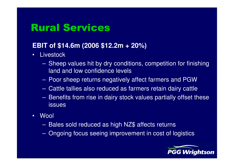## Rural Services

#### **EBIT of \$14.6m (2006 \$12.2m + 20%)**

- •**Livestock** 
	- $\mathcal{L}_{\mathcal{A}}$  , where  $\mathcal{L}_{\mathcal{A}}$  is the set of the set of the set of the set of the set of the set of the set of the set of the set of the set of the set of the set of the set of the set of the set of the set of the Sheep values hit by dry conditions, competition for finishing land and low confidence levels
	- $\mathcal{L}_{\mathcal{A}}$  , where  $\mathcal{L}_{\mathcal{A}}$  is the set of the set of the set of the set of the set of the set of the set of the set of the set of the set of the set of the set of the set of the set of the set of the set of the Poor sheep returns negatively affect farmers and PGW
	- Lietus alung suka tahungan sejarmare ratam dairiy pat Cattle tallies also reduced as farmers retain dairy cattle
	- $\mathcal{L}_{\mathcal{A}}$  , where  $\mathcal{L}_{\mathcal{A}}$  is the set of the set of the set of the set of the set of the set of the set of the set of the set of the set of the set of the set of the set of the set of the set of the set of the Benefits from rise in dairy stock values partially offset these issues
- •**Wool** 
	- $\mathcal{L}_{\mathcal{A}}$  , where  $\mathcal{L}_{\mathcal{A}}$  is the set of the set of the set of the set of the set of the set of the set of the set of the set of the set of the set of the set of the set of the set of the set of the set of the Bales sold reduced as high NZ\$ affects returns
	- $\mathcal{L}_{\mathcal{A}}$  , where  $\mathcal{L}_{\mathcal{A}}$  is the set of the set of the set of the set of the set of the set of the set of the set of the set of the set of the set of the set of the set of the set of the set of the set of the Ongoing focus seeing improvement in cost of logistics

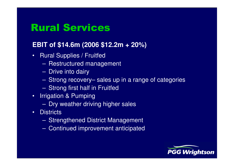## Rural Services

#### **EBIT of \$14.6m (2006 \$12.2m + 20%)**

- • Rural Supplies / Fruitfed
	- $\mathcal{L}_{\mathcal{A}}$  , where  $\mathcal{L}_{\mathcal{A}}$  is the set of the set of the set of the set of the set of the set of the set of the set of the set of the set of the set of the set of the set of the set of the set of the set of the Restructured management
	- $\mathcal{L}_{\mathcal{A}}$  , where  $\mathcal{L}_{\mathcal{A}}$  is the set of the set of the set of the set of the set of the set of the set of the set of the set of the set of the set of the set of the set of the set of the set of the set of the Drive into dairy
	- –Strong recovery– sales up in a range of categories
	- $\mathcal{L}_{\mathcal{A}}$  , where  $\mathcal{L}_{\mathcal{A}}$  is the set of the set of the set of the set of the set of the set of the set of the set of the set of the set of the set of the set of the set of the set of the set of the set of the Strong first half in Fruitfed
- • Irrigation & Pumping
	- $\mathcal{L}_{\mathcal{A}}$  , where  $\mathcal{L}_{\mathcal{A}}$  is the set of the set of the set of the set of the set of the set of the set of the set of the set of the set of the set of the set of the set of the set of the set of the set of the Dry weather driving higher sales
- •**Districts** 
	- $\mathcal{L}_{\mathcal{A}}$  , where  $\mathcal{L}_{\mathcal{A}}$  is the set of the set of the set of the set of the set of the set of the set of the set of the set of the set of the set of the set of the set of the set of the set of the set of the Strengthened District Management
	- $\mathcal{L}_{\mathcal{A}}$  , where  $\mathcal{L}_{\mathcal{A}}$  is the set of the set of the set of the set of the set of the set of the set of the set of the set of the set of the set of the set of the set of the set of the set of the set of the Continued improvement anticipated

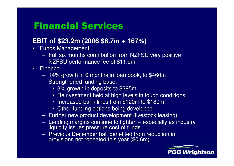#### Financial Services

#### **EBIT of \$23.2m (2006 \$8.7m + 167%)**

- • Funds Management
	- Full six months contribution from NZFSU very positive
	- NZFSU performance fee of \$11.9m
- Finance
	- 170 14% growth in 6 months in loan book, to \$460m
	- Strengthened funding base:
		- 3% growth in deposits to \$285m
		- Reinvestment held at high levels in tough conditions
		- Increased bank lines from \$120m to \$180m
		- Other funding options being developed
	- Further new product development (livestock leasing)
	- Lending margins continue to tighten especially as industry liquidity issues pressure cost of funds
	- Pravious December half benefited fra Previous December half benefited from reduction inprovisions not repeated this year (\$0.6m)

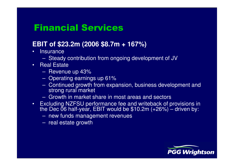#### Financial Services

#### **EBIT of \$23.2m (2006 \$8.7m + 167%)**

- •**Insurance** 
	- Steady contribution from ongoing development of JV
- • Real Estate
	- Ravani Revenue up 43%
	- –Operating earnings up 61%
	- – Continued growth from expansion, business development and strong rural market
	- Growth in market share in most areas and sectors
- Excluding NZFSU performance fee and writeback of provisions in the Dec 06 half-year, EBIT would be \$10.2m (+26%) driven by: •
	- new funds management revenues
	- real estate growth

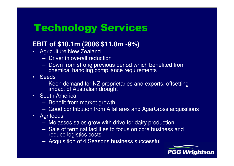## Technology Services

#### **EBIT of \$10.1m (2006 \$11.0m -9%)**

- • Agriculture New Zealand
	- $\hspace{0.1em}$  Thiver in overall redi Driver in overall reduction
	- Down trom etrona provin Down from strong previous period which benefited from chemical handling compliance requirements
- Seeds
	- – Keen demand for NZ proprietaries and exports, offsetting impact of Australian drought
- South America
	- Ranatit tro Benefit from market growth
	- Good contribution from Alfalfares and AgarCross acquisitions
- •**Agrifeeds** 
	- Molasses sales grow with drive for dairy production
	- $-$  Sale of terminal facilities to focus on core business Sale of terminal facilities to focus on core business and reduce logistics costs
	- $-$  Acquisition of A Saad Acquisition of 4 Seasons business successful

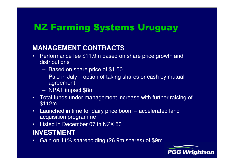## NZ Farming Systems Uruguay

#### **MANAGEMENT CONTRACTS**

- Performance fee \$11.9m based on share price growth and •**distributions** 
	- Based on share price of \$1.50
	- Paid in July option of taking shares or cash by mutual agreement
	- NPAT impact \$8m
- Total funds under management increase with further raising of •\$112m
- Launched in time for dairy price boom accelerated land •acquisition programme
- Listed in December 07 in NZX 50•

#### **INVESTMENT**

 Gain on 11% shareholding (26.9m shares) of \$9m•

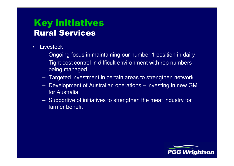## Key initiativesRural Services

- • Livestock
	- Ongoing focus in maintaining our number 1 position in dairy
	- Tight cost control in difficult environment with rep numbers being managed
	- Targeted investment in certain areas to strengthen network
	- Development of Australian operations investing in new GM for Australia
	- Supportive of initiatives to strengthen the meat industry for farmer benefit

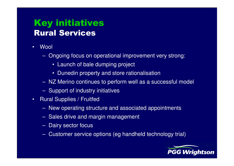## Key initiativesRural Services

- •**Wool** 
	- Ongoing focus on operational improvement very strong:
		- Launch of bale dumping project
		- Dunedin property and store rationalisation
	- NZ Merino continues to perform well as a successful model
	- Support of industry initiatives
- $\bullet$  Rural Supplies / Fruitfed
	- New operating structure and associated appointment s
	- Sales drive and margin management
	- Dairy sector focus
	- Customer service options (eg handheld technology trial)

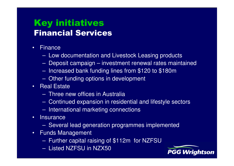## Key initiativesFinancial Services

- •**Finance** 
	- Low documentation and Livestock Leasing products
	- Deposit campaign investment renewal rates maintained
	- Increased bank funding lines from \$120 to \$180m
	- Other funding options in development
- Real Estate
	- Three new offices in Australia
	- Continued expansion in residential and lifestyle sectors
	- International marketing connections
- •**Insurance** 
	- Several lead generation programmes implemented
- • Funds Management
	- Further capital raising of \$112m for NZFSU
	- Listed NZFSU in NZX50

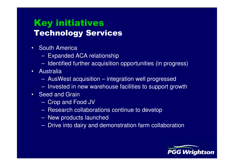## Key initiativesTechnology Services

- South America
	- $\mathcal{L}_{\mathcal{A}}$ Expanded ACA relationship
	- $\mathcal{L}_{\mathcal{A}}$ Identified further acquisition opportunities (in progress)
- • Australia
	- $\mathcal{L}_{\mathcal{A}}$ AusWest acquisition – integration well progressed
	- $\mathcal{L}_{\mathcal{A}}$ Invested in new warehouse facilities to support growth
- Seed and Grain
	- $\mathcal{L}_{\mathcal{A}}$ Crop and Food JV
	- Raeaerch collabo Research collaborations continue to develop
	- $\mathcal{L}_{\mathcal{A}}$ New products launched
	- $\mathcal{L}_{\mathcal{A}}$ Drive into dairy and demonstration farm collaboration

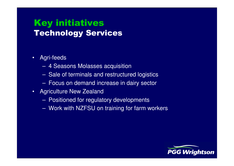#### Key initiativesTechnology Services

- • Agri-feeds
	- 4 Seasons Molasses acquisition
	- Sale of terminals and restructured logistics
	- Focus on demand increase in dairy sector
- • Agriculture New Zealand
	- Positioned for regulatory developments
	- Work with NZFSU on training for farm workers

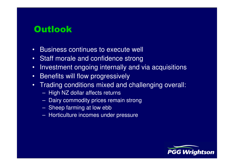#### **Outlook**

- •Business continues to execute well
- •Staff morale and confidence strong
- Investment ongoing internally and via acquisitions•
- •Benefits will flow progressively
- Trading conditions mixed and challenging overall: •
	- High NZ dollar affects returns
	- Dairy commodity prices remain strong
	- Sheep farming at low ebb
	- $\mathcal{L}_{\mathcal{A}}$ Horticulture incomes under pressure